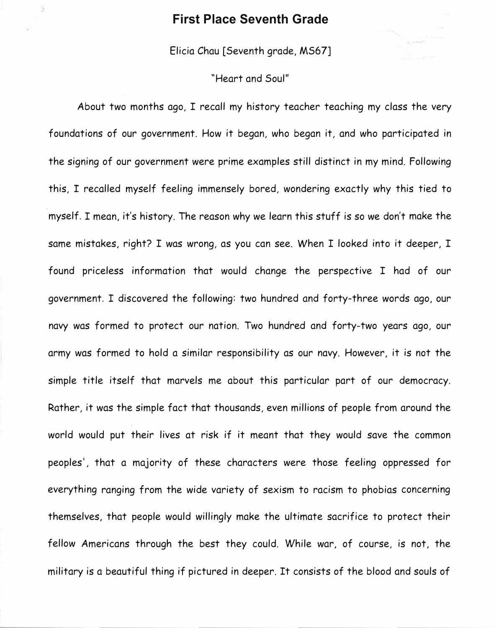## **First Place Seventh Grade**

S,

Elicia Chau [Seventh grade, MS67]

## "Heart and Soul"

About two months ago, I recall my history teacher teaching my class the very foundations of our government. How it began, who began it, and who participated in the signing of our government were prime examples still distinct in my mind. Following this, I recalled myself feeling immensely bored, wondering exactly why this tied to myself. I mean, it's history. The reason why we learn this stuff is so we don't make the same mistakes, right? I was wrong, as you can see. When I looked into it deeper, I found priceless information that would change the perspective I had of our government. I discovered the following: two hundred and forty-three words ago, our navy was formed to protect our nation. Two hundred and forty-two years ago, our army was formed to hold a similar responsibility as our navy. However, it is not the simple title itself that marvels me about this particular part of our democracy. Rather, it was the simple fact that thousands, even millions of people from around the world would put their lives at risk if it meant that they would save the common peoples', that a majority of these characters were those feeling oppressed for everything ranging from the wide variety of sexism to racism to phobias concerning themselves, that people would willingly make the ultimate sacrifice to protect their fellow Americans through the best they could. While war, of course, is not, the military is a beautiful thing if pictured in deeper. It consists of the blood and souls of